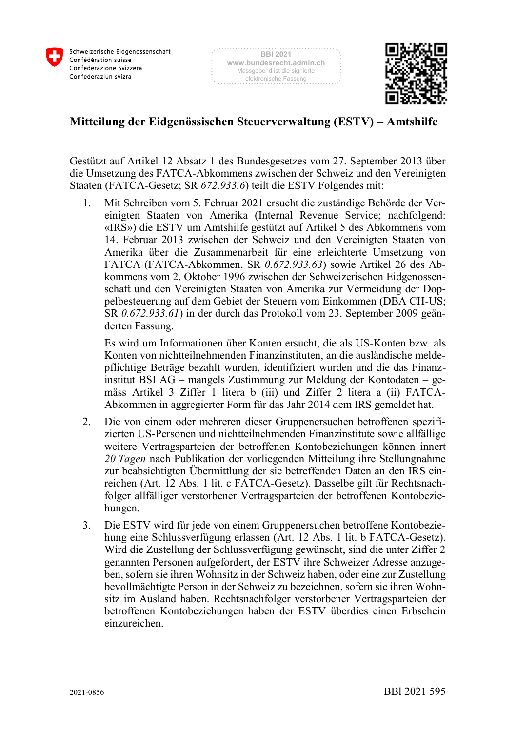



## **Mitteilung der Eidgenössischen Steuerverwaltung (ESTV) – Amtshilfe**

Gestützt auf Artikel 12 Absatz 1 des Bundesgesetzes vom 27. September 2013 über die Umsetzung des FATCA-Abkommens zwischen der Schweiz und den Vereinigten Staaten (FATCA-Gesetz; SR *672.933.6*) teilt die ESTV Folgendes mit:

1. Mit Schreiben vom 5. Februar 2021 ersucht die zuständige Behörde der Vereinigten Staaten von Amerika (Internal Revenue Service; nachfolgend: «IRS») die ESTV um Amtshilfe gestützt auf Artikel 5 des Abkommens vom 14. Februar 2013 zwischen der Schweiz und den Vereinigten Staaten von Amerika über die Zusammenarbeit für eine erleichterte Umsetzung von FATCA (FATCA-Abkommen, SR *0.672.933.63*) sowie Artikel 26 des Abkommens vom 2. Oktober 1996 zwischen der Schweizerischen Eidgenossenschaft und den Vereinigten Staaten von Amerika zur Vermeidung der Doppelbesteuerung auf dem Gebiet der Steuern vom Einkommen (DBA CH-US; SR *0.672.933.61*) in der durch das Protokoll vom 23. September 2009 geänderten Fassung.

Es wird um Informationen über Konten ersucht, die als US-Konten bzw. als Konten von nichtteilnehmenden Finanzinstituten, an die ausländische meldepflichtige Beträge bezahlt wurden, identifiziert wurden und die das Finanzinstitut BSI AG – mangels Zustimmung zur Meldung der Kontodaten – gemäss Artikel 3 Ziffer 1 litera b (iii) und Ziffer 2 litera a (ii) FATCA-Abkommen in aggregierter Form für das Jahr 2014 dem IRS gemeldet hat.

- 2. Die von einem oder mehreren dieser Gruppenersuchen betroffenen spezifizierten US-Personen und nichtteilnehmenden Finanzinstitute sowie allfällige weitere Vertragsparteien der betroffenen Kontobeziehungen können innert *20 Tagen* nach Publikation der vorliegenden Mitteilung ihre Stellungnahme zur beabsichtigten Übermittlung der sie betreffenden Daten an den IRS einreichen (Art. 12 Abs. 1 lit. c FATCA-Gesetz). Dasselbe gilt für Rechtsnachfolger allfälliger verstorbener Vertragsparteien der betroffenen Kontobeziehungen.
- 3. Die ESTV wird für jede von einem Gruppenersuchen betroffene Kontobeziehung eine Schlussverfügung erlassen (Art. 12 Abs. 1 lit. b FATCA-Gesetz). Wird die Zustellung der Schlussverfügung gewünscht, sind die unter Ziffer 2 genannten Personen aufgefordert, der ESTV ihre Schweizer Adresse anzugeben, sofern sie ihren Wohnsitz in der Schweiz haben, oder eine zur Zustellung bevollmächtigte Person in der Schweiz zu bezeichnen, sofern sie ihren Wohnsitz im Ausland haben. Rechtsnachfolger verstorbener Vertragsparteien der betroffenen Kontobeziehungen haben der ESTV überdies einen Erbschein einzureichen.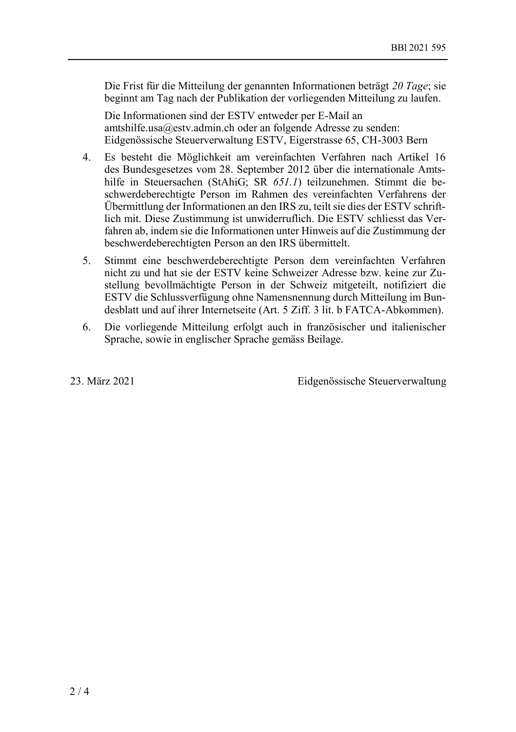Die Frist für die Mitteilung der genannten Informationen beträgt *20 Tage*; sie beginnt am Tag nach der Publikation der vorliegenden Mitteilung zu laufen.

Die Informationen sind der ESTV entweder per E-Mail an amtshilfe.usa@estv.admin.ch oder an folgende Adresse zu senden: Eidgenössische Steuerverwaltung ESTV, Eigerstrasse 65, CH-3003 Bern

- 4. Es besteht die Möglichkeit am vereinfachten Verfahren nach Artikel 16 des Bundesgesetzes vom 28. September 2012 über die internationale Amtshilfe in Steuersachen (StAhiG; SR *651.1*) teilzunehmen. Stimmt die beschwerdeberechtigte Person im Rahmen des vereinfachten Verfahrens der Übermittlung der Informationen an den IRS zu, teilt sie dies der ESTV schriftlich mit. Diese Zustimmung ist unwiderruflich. Die ESTV schliesst das Verfahren ab, indem sie die Informationen unter Hinweis auf die Zustimmung der beschwerdeberechtigten Person an den IRS übermittelt.
- 5. Stimmt eine beschwerdeberechtigte Person dem vereinfachten Verfahren nicht zu und hat sie der ESTV keine Schweizer Adresse bzw. keine zur Zustellung bevollmächtigte Person in der Schweiz mitgeteilt, notifiziert die ESTV die Schlussverfügung ohne Namensnennung durch Mitteilung im Bundesblatt und auf ihrer Internetseite (Art. 5 Ziff. 3 lit. b FATCA-Abkommen).
- 6. Die vorliegende Mitteilung erfolgt auch in französischer und italienischer Sprache, sowie in englischer Sprache gemäss Beilage.

23. März 2021 Eidgenössische Steuerverwaltung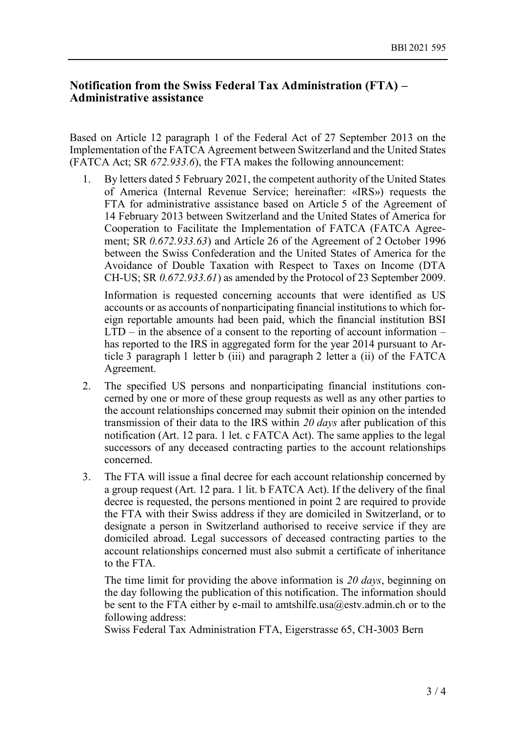## **Notification from the Swiss Federal Tax Administration (FTA) – Administrative assistance**

Based on Article 12 paragraph 1 of the Federal Act of 27 September 2013 on the Implementation of the FATCA Agreement between Switzerland and the United States (FATCA Act; SR *672.933.6*), the FTA makes the following announcement:

1. By letters dated 5 February 2021, the competent authority of the United States of America (Internal Revenue Service; hereinafter: «IRS») requests the FTA for administrative assistance based on Article 5 of the Agreement of 14 February 2013 between Switzerland and the United States of America for Cooperation to Facilitate the Implementation of FATCA (FATCA Agreement; SR *0.672.933.63*) and Article 26 of the Agreement of 2 October 1996 between the Swiss Confederation and the United States of America for the Avoidance of Double Taxation with Respect to Taxes on Income (DTA CH-US; SR *0.672.933.61*) as amended by the Protocol of 23 September 2009.

Information is requested concerning accounts that were identified as US accounts or as accounts of nonparticipating financial institutions to which foreign reportable amounts had been paid, which the financial institution BSI  $LTD - in$  the absence of a consent to the reporting of account information – has reported to the IRS in aggregated form for the year 2014 pursuant to Article  $\overline{3}$  paragraph 1 letter b (iii) and paragraph 2 letter a (ii) of the FATCA Agreement.

- 2. The specified US persons and nonparticipating financial institutions concerned by one or more of these group requests as well as any other parties to the account relationships concerned may submit their opinion on the intended transmission of their data to the IRS within *20 days* after publication of this notification (Art. 12 para. 1 let. c FATCA Act). The same applies to the legal successors of any deceased contracting parties to the account relationships concerned.
- 3. The FTA will issue a final decree for each account relationship concerned by a group request (Art. 12 para. 1 lit. b FATCA Act). If the delivery of the final decree is requested, the persons mentioned in point 2 are required to provide the FTA with their Swiss address if they are domiciled in Switzerland, or to designate a person in Switzerland authorised to receive service if they are domiciled abroad. Legal successors of deceased contracting parties to the account relationships concerned must also submit a certificate of inheritance to the FTA.

The time limit for providing the above information is *20 days*, beginning on the day following the publication of this notification. The information should be sent to the FTA either by e-mail to amtshilfe.usa@estv.admin.ch or to the following address:

Swiss Federal Tax Administration FTA, Eigerstrasse 65, CH-3003 Bern